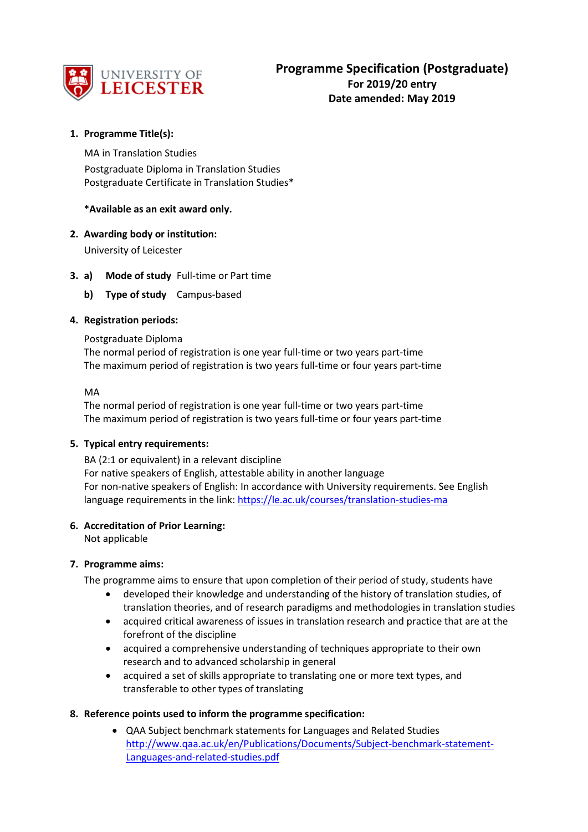

# **1. Programme Title(s):**

MA in Translation Studies Postgraduate Diploma in Translation Studies Postgraduate Certificate in Translation Studies\*

## **\*Available as an exit award only.**

## **2. Awarding body or institution:**

University of Leicester

## **3. a) Mode of study** Full-time or Part time

**b) Type of study** Campus-based

## **4. Registration periods:**

#### Postgraduate Diploma

The normal period of registration is one year full-time or two years part-time The maximum period of registration is two years full-time or four years part-time

#### MA

The normal period of registration is one year full-time or two years part-time The maximum period of registration is two years full-time or four years part-time

#### **5. Typical entry requirements:**

BA (2:1 or equivalent) in a relevant discipline For native speakers of English, attestable ability in another language For non-native speakers of English: In accordance with University requirements. See English language requirements in the link[: https://le.ac.uk/courses/translation-studies-ma](https://le.ac.uk/courses/translation-studies-ma)

#### **6. Accreditation of Prior Learning:**

Not applicable

#### **7. Programme aims:**

The programme aims to ensure that upon completion of their period of study, students have

- developed their knowledge and understanding of the history of translation studies, of translation theories, and of research paradigms and methodologies in translation studies
- acquired critical awareness of issues in translation research and practice that are at the forefront of the discipline
- acquired a comprehensive understanding of techniques appropriate to their own research and to advanced scholarship in general
- acquired a set of skills appropriate to translating one or more text types, and transferable to other types of translating

#### **8. Reference points used to inform the programme specification:**

• QAA Subject benchmark statements for Languages and Related Studies [http://www.qaa.ac.uk/en/Publications/Documents/Subject-benchmark-statement-](http://www.qaa.ac.uk/en/Publications/Documents/Subject-benchmark-statement-Languages-and-related-studies.pdf)[Languages-and-related-studies.pdf](http://www.qaa.ac.uk/en/Publications/Documents/Subject-benchmark-statement-Languages-and-related-studies.pdf)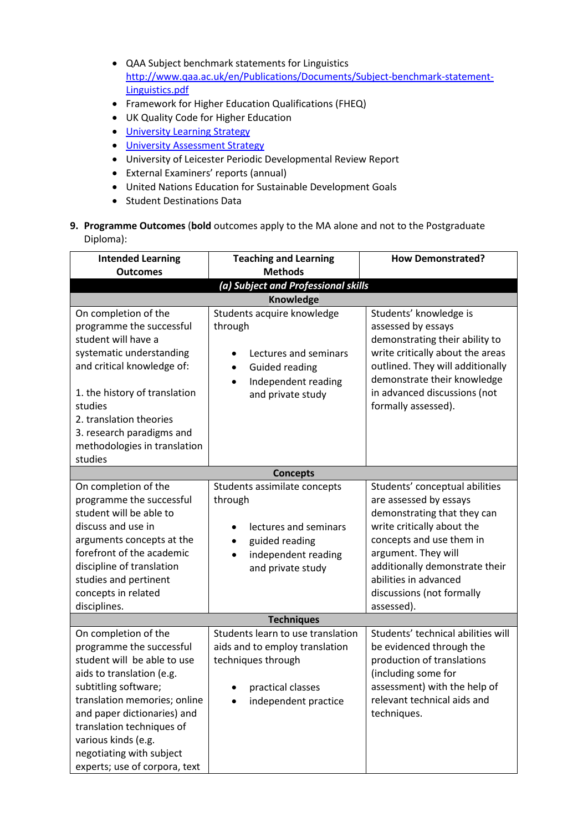- QAA Subject benchmark statements for Linguistics [http://www.qaa.ac.uk/en/Publications/Documents/Subject-benchmark-statement-](http://www.qaa.ac.uk/en/Publications/Documents/Subject-benchmark-statement-Linguistics.pdf)[Linguistics.pdf](http://www.qaa.ac.uk/en/Publications/Documents/Subject-benchmark-statement-Linguistics.pdf)
- Framework for Higher Education Qualifications (FHEQ)
- UK Quality Code for Higher Education
- University Learning [Strategy](https://www2.le.ac.uk/offices/sas2/quality/learnteach)
- [University Assessment Strategy](https://www2.le.ac.uk/offices/sas2/quality/learnteach)
- University of Leicester Periodic Developmental Review Report
- External Examiners' reports (annual)
- United Nations Education for Sustainable Development Goals
- Student Destinations Data
- **9. Programme Outcomes** (**bold** outcomes apply to the MA alone and not to the Postgraduate Diploma):

| <b>Intended Learning</b><br><b>Outcomes</b>                                                                                                                                                                                                                                                                          | <b>Teaching and Learning</b><br><b>Methods</b>                                                                                                           | <b>How Demonstrated?</b>                                                                                                                                                                                                                                                       |
|----------------------------------------------------------------------------------------------------------------------------------------------------------------------------------------------------------------------------------------------------------------------------------------------------------------------|----------------------------------------------------------------------------------------------------------------------------------------------------------|--------------------------------------------------------------------------------------------------------------------------------------------------------------------------------------------------------------------------------------------------------------------------------|
|                                                                                                                                                                                                                                                                                                                      | (a) Subject and Professional skills                                                                                                                      |                                                                                                                                                                                                                                                                                |
|                                                                                                                                                                                                                                                                                                                      | Knowledge                                                                                                                                                |                                                                                                                                                                                                                                                                                |
| On completion of the<br>programme the successful<br>student will have a<br>systematic understanding<br>and critical knowledge of:<br>1. the history of translation<br>studies<br>2. translation theories<br>3. research paradigms and<br>methodologies in translation<br>studies                                     | Students acquire knowledge<br>through<br>Lectures and seminars<br><b>Guided reading</b><br>٠<br>Independent reading<br>$\bullet$<br>and private study    | Students' knowledge is<br>assessed by essays<br>demonstrating their ability to<br>write critically about the areas<br>outlined. They will additionally<br>demonstrate their knowledge<br>in advanced discussions (not<br>formally assessed).                                   |
|                                                                                                                                                                                                                                                                                                                      | <b>Concepts</b>                                                                                                                                          |                                                                                                                                                                                                                                                                                |
| On completion of the<br>programme the successful<br>student will be able to<br>discuss and use in<br>arguments concepts at the<br>forefront of the academic<br>discipline of translation<br>studies and pertinent<br>concepts in related<br>disciplines.                                                             | Students assimilate concepts<br>through<br>lectures and seminars<br>guided reading<br>$\bullet$<br>independent reading<br>$\bullet$<br>and private study | Students' conceptual abilities<br>are assessed by essays<br>demonstrating that they can<br>write critically about the<br>concepts and use them in<br>argument. They will<br>additionally demonstrate their<br>abilities in advanced<br>discussions (not formally<br>assessed). |
|                                                                                                                                                                                                                                                                                                                      | <b>Techniques</b>                                                                                                                                        |                                                                                                                                                                                                                                                                                |
| On completion of the<br>programme the successful<br>student will be able to use<br>aids to translation (e.g.<br>subtitling software;<br>translation memories; online<br>and paper dictionaries) and<br>translation techniques of<br>various kinds (e.g.<br>negotiating with subject<br>experts; use of corpora, text | Students learn to use translation<br>aids and to employ translation<br>techniques through<br>practical classes<br>independent practice                   | Students' technical abilities will<br>be evidenced through the<br>production of translations<br>(including some for<br>assessment) with the help of<br>relevant technical aids and<br>techniques.                                                                              |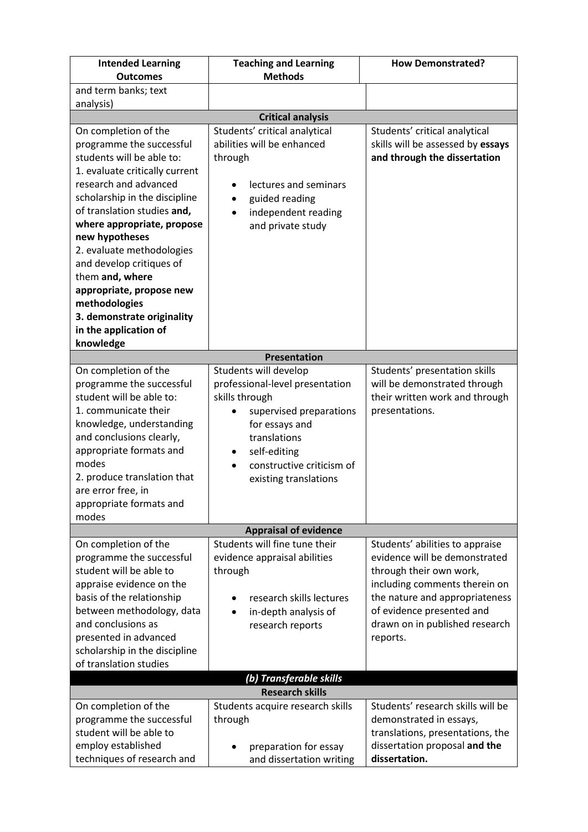| <b>Intended Learning</b><br><b>Outcomes</b>           | <b>Teaching and Learning</b><br><b>Methods</b> | <b>How Demonstrated?</b>                                        |  |
|-------------------------------------------------------|------------------------------------------------|-----------------------------------------------------------------|--|
| and term banks; text                                  |                                                |                                                                 |  |
| analysis)                                             |                                                |                                                                 |  |
|                                                       | <b>Critical analysis</b>                       |                                                                 |  |
| On completion of the                                  | Students' critical analytical                  | Students' critical analytical                                   |  |
| programme the successful                              | abilities will be enhanced                     | skills will be assessed by essays                               |  |
| students will be able to:                             | through                                        | and through the dissertation                                    |  |
| 1. evaluate critically current                        |                                                |                                                                 |  |
| research and advanced                                 | lectures and seminars                          |                                                                 |  |
| scholarship in the discipline                         | guided reading                                 |                                                                 |  |
| of translation studies and,                           | independent reading<br>$\bullet$               |                                                                 |  |
| where appropriate, propose                            | and private study                              |                                                                 |  |
| new hypotheses                                        |                                                |                                                                 |  |
| 2. evaluate methodologies                             |                                                |                                                                 |  |
| and develop critiques of                              |                                                |                                                                 |  |
| them and, where                                       |                                                |                                                                 |  |
| appropriate, propose new<br>methodologies             |                                                |                                                                 |  |
| 3. demonstrate originality                            |                                                |                                                                 |  |
| in the application of                                 |                                                |                                                                 |  |
| knowledge                                             |                                                |                                                                 |  |
|                                                       | <b>Presentation</b>                            |                                                                 |  |
| On completion of the                                  | Students will develop                          | Students' presentation skills                                   |  |
| programme the successful                              | professional-level presentation                | will be demonstrated through                                    |  |
| student will be able to:                              | skills through                                 | their written work and through                                  |  |
| 1. communicate their                                  | supervised preparations                        | presentations.                                                  |  |
| knowledge, understanding                              | for essays and                                 |                                                                 |  |
| and conclusions clearly,                              | translations                                   |                                                                 |  |
| appropriate formats and                               | self-editing                                   |                                                                 |  |
| modes                                                 | constructive criticism of                      |                                                                 |  |
| 2. produce translation that                           | existing translations                          |                                                                 |  |
| are error free, in                                    |                                                |                                                                 |  |
| appropriate formats and                               |                                                |                                                                 |  |
| modes                                                 |                                                |                                                                 |  |
|                                                       | <b>Appraisal of evidence</b>                   |                                                                 |  |
| On completion of the                                  | Students will fine tune their                  | Students' abilities to appraise                                 |  |
| programme the successful<br>student will be able to   | evidence appraisal abilities                   | evidence will be demonstrated                                   |  |
|                                                       | through                                        | through their own work,                                         |  |
| appraise evidence on the<br>basis of the relationship | research skills lectures                       | including comments therein on<br>the nature and appropriateness |  |
| between methodology, data                             |                                                | of evidence presented and                                       |  |
| and conclusions as                                    | in-depth analysis of<br>research reports       | drawn on in published research                                  |  |
| presented in advanced                                 |                                                | reports.                                                        |  |
| scholarship in the discipline                         |                                                |                                                                 |  |
| of translation studies                                |                                                |                                                                 |  |
|                                                       | (b) Transferable skills                        |                                                                 |  |
| <b>Research skills</b>                                |                                                |                                                                 |  |
| On completion of the                                  | Students acquire research skills               | Students' research skills will be                               |  |
| programme the successful                              | through                                        | demonstrated in essays,                                         |  |
| student will be able to                               |                                                | translations, presentations, the                                |  |
| employ established                                    | preparation for essay                          | dissertation proposal and the                                   |  |
| techniques of research and                            | and dissertation writing                       | dissertation.                                                   |  |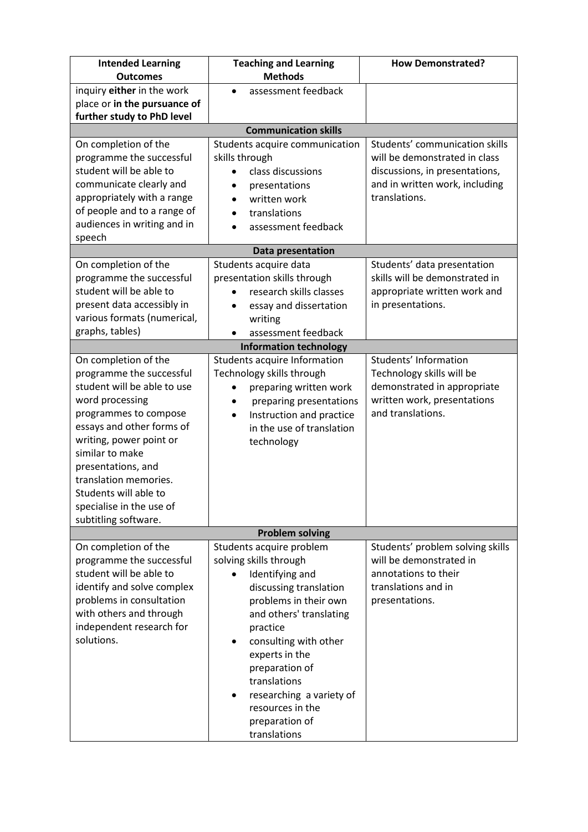| <b>Intended Learning</b><br><b>Outcomes</b>             | <b>Teaching and Learning</b><br><b>Methods</b>                                | <b>How Demonstrated?</b>                                   |
|---------------------------------------------------------|-------------------------------------------------------------------------------|------------------------------------------------------------|
| inquiry either in the work                              | assessment feedback                                                           |                                                            |
| place or in the pursuance of                            |                                                                               |                                                            |
| further study to PhD level                              |                                                                               |                                                            |
|                                                         | <b>Communication skills</b>                                                   |                                                            |
| On completion of the                                    | Students acquire communication                                                | Students' communication skills                             |
| programme the successful                                | skills through                                                                | will be demonstrated in class                              |
| student will be able to                                 | class discussions<br>$\bullet$                                                | discussions, in presentations,                             |
| communicate clearly and                                 | presentations                                                                 | and in written work, including                             |
| appropriately with a range                              | written work<br>$\bullet$                                                     | translations.                                              |
| of people and to a range of                             | translations<br>$\bullet$                                                     |                                                            |
| audiences in writing and in                             | assessment feedback                                                           |                                                            |
| speech                                                  |                                                                               |                                                            |
|                                                         | Data presentation                                                             |                                                            |
| On completion of the                                    | Students acquire data                                                         | Students' data presentation                                |
| programme the successful                                | presentation skills through                                                   | skills will be demonstrated in                             |
| student will be able to                                 | research skills classes                                                       | appropriate written work and                               |
| present data accessibly in                              | essay and dissertation<br>$\bullet$                                           | in presentations.                                          |
| various formats (numerical,                             | writing                                                                       |                                                            |
| graphs, tables)                                         | assessment feedback                                                           |                                                            |
|                                                         | <b>Information technology</b>                                                 |                                                            |
| On completion of the                                    | Students acquire Information                                                  | Students' Information                                      |
| programme the successful<br>student will be able to use | Technology skills through                                                     | Technology skills will be                                  |
| word processing                                         | preparing written work                                                        | demonstrated in appropriate<br>written work, presentations |
| programmes to compose                                   | preparing presentations<br>$\bullet$<br>Instruction and practice<br>$\bullet$ | and translations.                                          |
| essays and other forms of                               | in the use of translation                                                     |                                                            |
| writing, power point or                                 | technology                                                                    |                                                            |
| similar to make                                         |                                                                               |                                                            |
| presentations, and                                      |                                                                               |                                                            |
| translation memories.                                   |                                                                               |                                                            |
| Students will able to                                   |                                                                               |                                                            |
| specialise in the use of                                |                                                                               |                                                            |
| subtitling software.                                    |                                                                               |                                                            |
|                                                         | <b>Problem solving</b>                                                        |                                                            |
| On completion of the                                    | Students acquire problem                                                      | Students' problem solving skills                           |
| programme the successful                                | solving skills through                                                        | will be demonstrated in                                    |
| student will be able to                                 | Identifying and                                                               | annotations to their                                       |
| identify and solve complex                              | discussing translation                                                        | translations and in                                        |
| problems in consultation                                | problems in their own                                                         | presentations.                                             |
| with others and through                                 | and others' translating                                                       |                                                            |
| independent research for<br>solutions.                  | practice                                                                      |                                                            |
|                                                         | consulting with other                                                         |                                                            |
|                                                         | experts in the<br>preparation of                                              |                                                            |
|                                                         | translations                                                                  |                                                            |
|                                                         | researching a variety of                                                      |                                                            |
|                                                         | resources in the                                                              |                                                            |
|                                                         | preparation of                                                                |                                                            |
|                                                         | translations                                                                  |                                                            |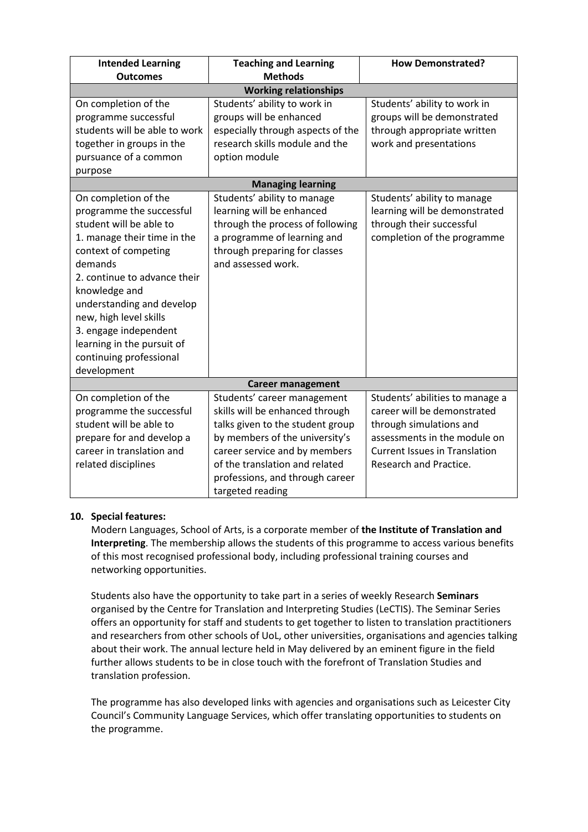| <b>Intended Learning</b>      | <b>Teaching and Learning</b>      | <b>How Demonstrated?</b>             |  |
|-------------------------------|-----------------------------------|--------------------------------------|--|
| <b>Outcomes</b>               | <b>Methods</b>                    |                                      |  |
|                               | <b>Working relationships</b>      |                                      |  |
| On completion of the          | Students' ability to work in      | Students' ability to work in         |  |
| programme successful          | groups will be enhanced           | groups will be demonstrated          |  |
| students will be able to work | especially through aspects of the | through appropriate written          |  |
| together in groups in the     | research skills module and the    | work and presentations               |  |
| pursuance of a common         | option module                     |                                      |  |
| purpose                       |                                   |                                      |  |
|                               | <b>Managing learning</b>          |                                      |  |
| On completion of the          | Students' ability to manage       | Students' ability to manage          |  |
| programme the successful      | learning will be enhanced         | learning will be demonstrated        |  |
| student will be able to       | through the process of following  | through their successful             |  |
| 1. manage their time in the   | a programme of learning and       | completion of the programme          |  |
| context of competing          | through preparing for classes     |                                      |  |
| demands                       | and assessed work.                |                                      |  |
| 2. continue to advance their  |                                   |                                      |  |
| knowledge and                 |                                   |                                      |  |
| understanding and develop     |                                   |                                      |  |
| new, high level skills        |                                   |                                      |  |
| 3. engage independent         |                                   |                                      |  |
| learning in the pursuit of    |                                   |                                      |  |
| continuing professional       |                                   |                                      |  |
| development                   |                                   |                                      |  |
| <b>Career management</b>      |                                   |                                      |  |
| On completion of the          | Students' career management       | Students' abilities to manage a      |  |
| programme the successful      | skills will be enhanced through   | career will be demonstrated          |  |
| student will be able to       | talks given to the student group  | through simulations and              |  |
| prepare for and develop a     | by members of the university's    | assessments in the module on         |  |
| career in translation and     | career service and by members     | <b>Current Issues in Translation</b> |  |
| related disciplines           | of the translation and related    | Research and Practice.               |  |
|                               | professions, and through career   |                                      |  |
|                               | targeted reading                  |                                      |  |

## **10. Special features:**

Modern Languages, School of Arts, is a corporate member of **the Institute of Translation and Interpreting**. The membership allows the students of this programme to access various benefits of this most recognised professional body, including professional training courses and networking opportunities.

Students also have the opportunity to take part in a series of weekly Research **Seminars** organised by the Centre for Translation and Interpreting Studies (LeCTIS). The Seminar Series offers an opportunity for staff and students to get together to listen to translation practitioners and researchers from other schools of UoL, other universities, organisations and agencies talking about their work. The annual lecture held in May delivered by an eminent figure in the field further allows students to be in close touch with the forefront of Translation Studies and translation profession.

The programme has also developed links with agencies and organisations such as Leicester City Council's Community Language Services, which offer translating opportunities to students on the programme.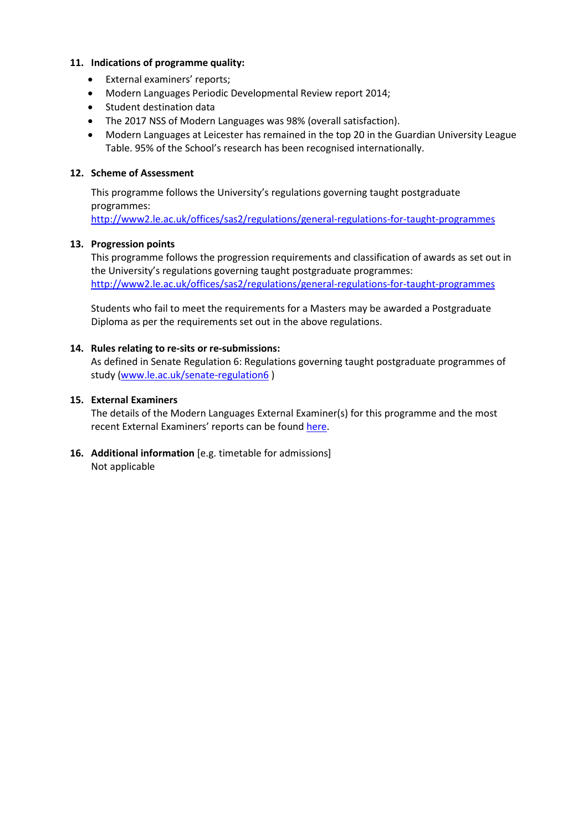### **11. Indications of programme quality:**

- External examiners' reports;
- Modern Languages Periodic Developmental Review report 2014;
- Student destination data
- The 2017 NSS of Modern Languages was 98% (overall satisfaction).
- Modern Languages at Leicester has remained in the top 20 in the Guardian University League Table. 95% of the School's research has been recognised internationally.

## **12. Scheme of Assessment**

This programme follows the University's regulations governing taught postgraduate programmes:

<http://www2.le.ac.uk/offices/sas2/regulations/general-regulations-for-taught-programmes>

## **13. Progression points**

This programme follows the progression requirements and classification of awards as set out in the University's regulations governing taught postgraduate programmes: <http://www2.le.ac.uk/offices/sas2/regulations/general-regulations-for-taught-programmes>

Students who fail to meet the requirements for a Masters may be awarded a Postgraduate Diploma as per the requirements set out in the above regulations.

## **14. Rules relating to re-sits or re-submissions:**

As defined in Senate Regulation 6: Regulations governing taught postgraduate programmes of study [\(www.le.ac.uk/senate-regulation6](http://www.le.ac.uk/senate-regulation6) )

## **15. External Examiners**

The details of the Modern Languages External Examiner(s) for this programme and the most recent External Examiners' reports can be found [here.](https://exampapers.le.ac.uk/xmlui/handle/123456789/224)

**16. Additional information** [e.g. timetable for admissions] Not applicable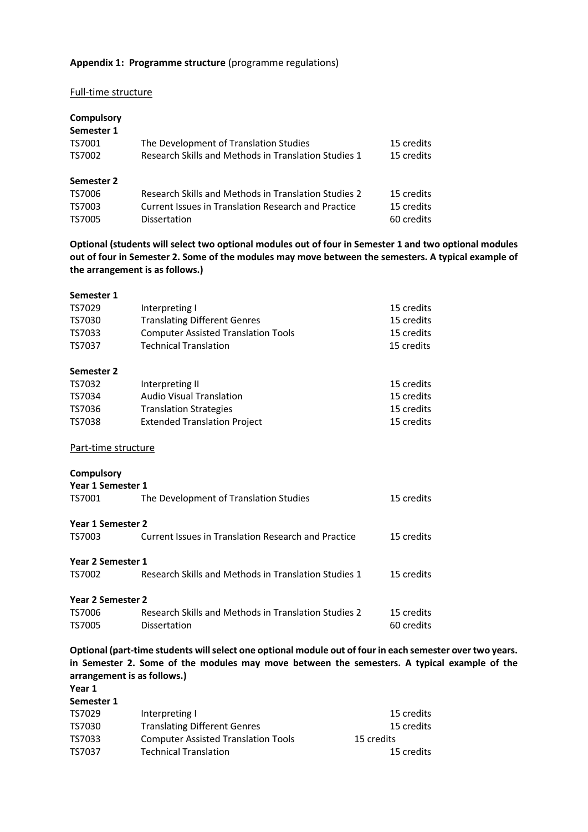### **Appendix 1: Programme structure** (programme regulations)

#### Full-time structure

| Compulsory |                                                      |            |
|------------|------------------------------------------------------|------------|
| Semester 1 |                                                      |            |
| TS7001     | The Development of Translation Studies               | 15 credits |
| TS7002     | Research Skills and Methods in Translation Studies 1 | 15 credits |
| Semester 2 |                                                      |            |
| TS7006     | Research Skills and Methods in Translation Studies 2 | 15 credits |
| TS7003     | Current Issues in Translation Research and Practice  | 15 credits |
| TS7005     | Dissertation                                         | 60 credits |

**Optional (students will select two optional modules out of four in Semester 1 and two optional modules out of four in Semester 2. Some of the modules may move between the semesters. A typical example of the arrangement is as follows.)**

| Semester 1          |                                                      |            |
|---------------------|------------------------------------------------------|------------|
| TS7029              | Interpreting I                                       | 15 credits |
| TS7030              | <b>Translating Different Genres</b>                  | 15 credits |
| TS7033              | <b>Computer Assisted Translation Tools</b>           | 15 credits |
| TS7037              | <b>Technical Translation</b>                         | 15 credits |
| Semester 2          |                                                      |            |
| TS7032              | Interpreting II                                      | 15 credits |
| TS7034              | <b>Audio Visual Translation</b>                      | 15 credits |
| TS7036              | <b>Translation Strategies</b>                        | 15 credits |
| <b>TS7038</b>       | <b>Extended Translation Project</b>                  | 15 credits |
| Part-time structure |                                                      |            |
| <b>Compulsory</b>   |                                                      |            |
| Year 1 Semester 1   |                                                      |            |
| TS7001              | The Development of Translation Studies               | 15 credits |
| Year 1 Semester 2   |                                                      |            |
| TS7003              | Current Issues in Translation Research and Practice  | 15 credits |
| Year 2 Semester 1   |                                                      |            |
| TS7002              | Research Skills and Methods in Translation Studies 1 | 15 credits |
| Year 2 Semester 2   |                                                      |            |
| TS7006              | Research Skills and Methods in Translation Studies 2 | 15 credits |
| <b>TS7005</b>       | Dissertation                                         | 60 credits |
|                     |                                                      |            |

**Optional (part-time students will select one optional module out of four in each semester over two years. in Semester 2. Some of the modules may move between the semesters. A typical example of the arrangement is as follows.)**

**Year 1**

| Semester 1 |                                            |            |
|------------|--------------------------------------------|------------|
| TS7029     | Interpreting I                             | 15 credits |
| TS7030     | <b>Translating Different Genres</b>        | 15 credits |
| TS7033     | <b>Computer Assisted Translation Tools</b> | 15 credits |
| TS7037     | <b>Technical Translation</b>               | 15 credits |